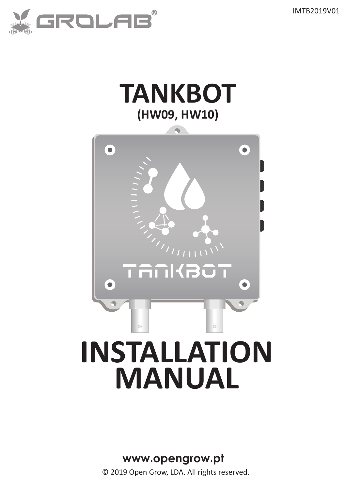





#### **www.opengrow.pt**

© 2019 Open Grow, LDA. All rights reserved.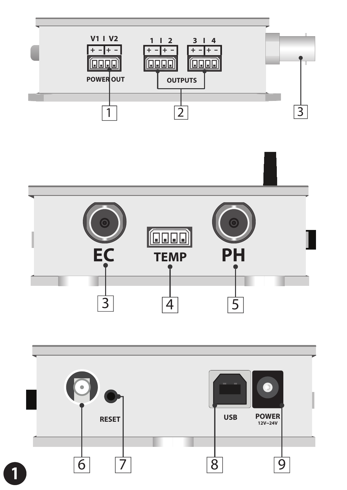



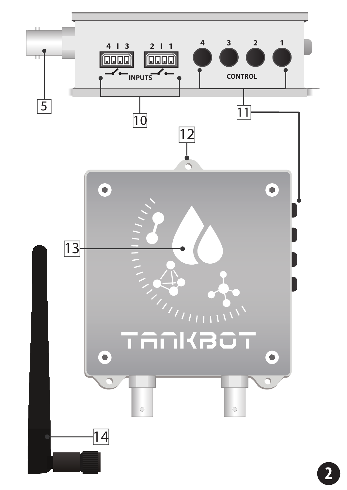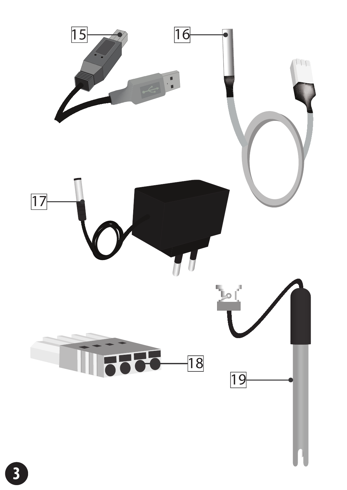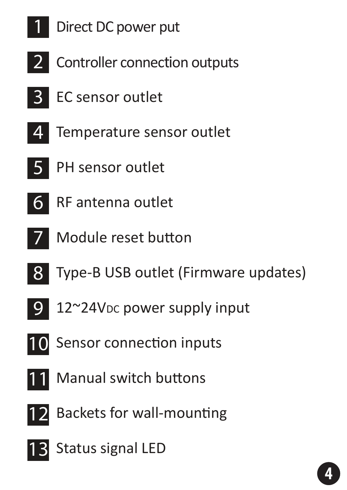

- 2 2 Controller connection outputs
- 3 **B** EC sensor outlet
- 4 **4** Temperature sensor outlet
- 5 5 PH sensor outlet
- 6 RF antenna outlet
- 6 7 Module reset button
- 7 8 8 Type-B USB outlet (Firmware updates)
- 9 12~24V<sub>DC</sub> power supply input
- 9 10 Sensor connection inputs
- 10 11 Manual switch buttons
- 11 12 Backets for wall-mounting
- 12 13 13 Status signal LED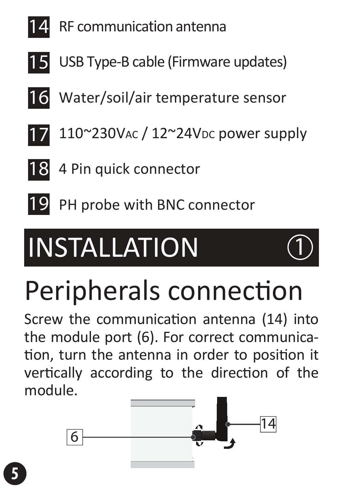- RF communication antenna
- **15** USB Type-B cable (Firmware updates) 14 15
- 16 Water/soil/air temperature sensor 16
- 110~230VAC / 12~24VDC power supply
- 18 4 Pin quick connector <u>-</u> 18
- 19 PH probe with BNC connector 19

# **INSTALLATION**

**5**



# Peripherals connection

Screw the communication antenna (14) into the module port (6). For correct communication, turn the antenna in order to position it vertically according to the direction of the module.

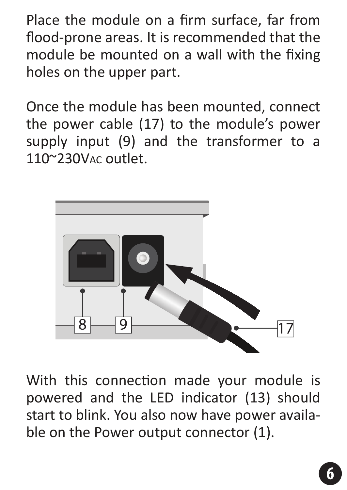Place the module on a firm surface, far from flood-prone areas. It is recommended that the module be mounted on a wall with the fixing holes on the upper part.

Once the module has been mounted, connect the power cable (17) to the module's power supply input (9) and the transformer to a  $110^{\circ}230$ V<sub>AC</sub> outlet.



With this connection made your module is powered and the LED indicator (13) should start to blink. You also now have power available on the Power output connector (1).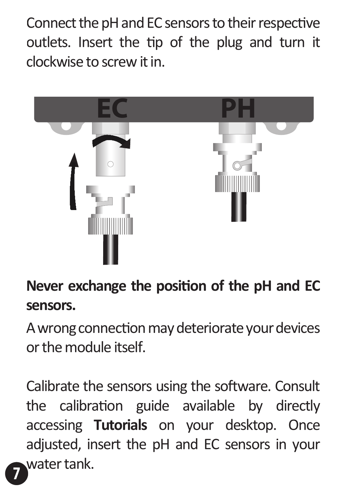Connect the pH and EC sensors to their respective outlets. Insert the tip of the plug and turn it clockwise to screw it in. c



Never exchange the position of the pH and EC **sensors.**

A wrong connection may deteriorate your devices or the module itself.

Calibrate the sensors using the software. Consult the calibration guide available by directly accessing **Tutorials** on your desktop. Once adjusted, insert the pH and EC sensors in your water tank. **7**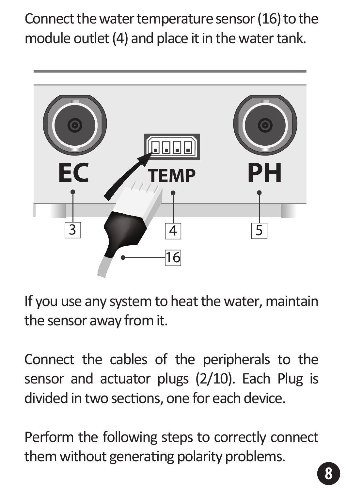Connect the water temperature sensor (16) to the module outlet  $(4)$  and place it in the water tank.



If you use any system to heat the water, maintain the sensor away from it.

Connect the cables of the peripherals to the sensor and actuator plugs (2/10). Each Plug is divided in two sections, one for each device.

Perform the following steps to correctly connect them without generating polarity problems.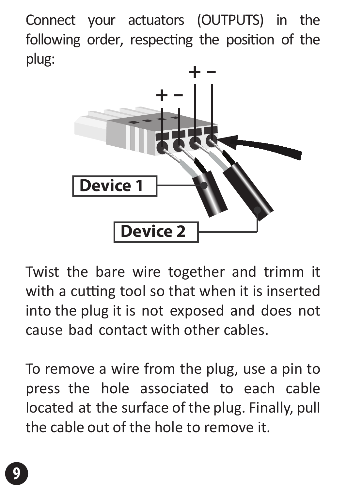**+ -** Connect your actuators (OUTPUTS) in the following order, respecting the position of the plug:



Twist the bare wire together and trimm it with a cutting tool so that when it is inserted into the plug it is not exposed and does not cause bad contact with other cables. c

To remove a wire from the plug, use a pin to press the hole associated to each cable located at the surface of the plug. Finally, pull the cable out of the hole to remove it.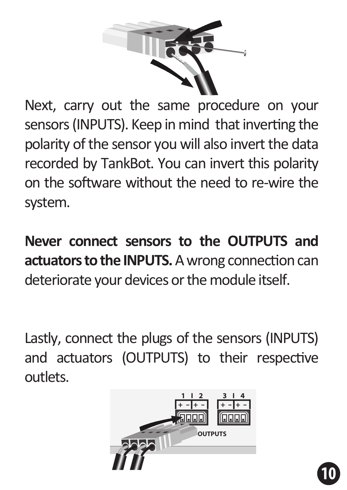

Next, carry out the same procedure on your sensors (INPUTS). Keep in mind that inverting the polarity of the sensor you will also invert the data recorded by TankBot. You can invert this polarity on the software without the need to re-wire the system. s

**Never connect sensors to the OUTPUTS and**  actuators to the INPUTS. A wrong connection can deteriorate your devices or the module itself. d

Lastly, connect the plugs of the sensors (INPUTS) (INPUTS) and actuators (OUTPUTS) to their respective outlets. o



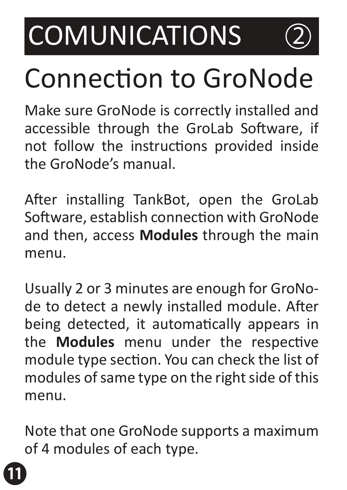# **COMUNICATIONS**



## **Connection to GroNode**

Make sure GroNode is correctly installed and accessible through the GroLab Software, if not follow the instructions provided inside the GroNode's manual.

After installing TankBot, open the GroLab Software, establish connection with GroNode and then, access Modules through the main menu

Usually 2 or 3 minutes are enough for GroNode to detect a newly installed module. After being detected, it automatically appears in the Modules menu under the respective module type section. You can check the list of modules of same type on the right side of this menu.

Note that one GroNode supports a maximum of 4 modules of each type.

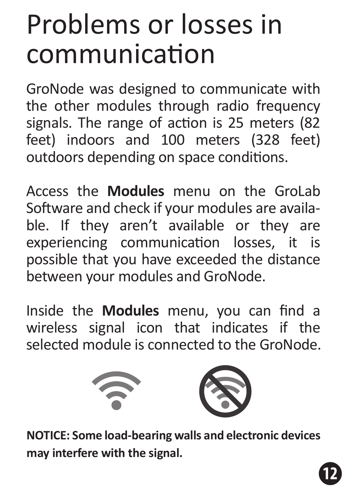#### Problems or losses in communicaƟon

GroNode was designed to communicate with the other modules through radio frequency signals. The range of action is 25 meters (82 feet) indoors and 100 meters (328 feet) outdoors depending on space conditions.

Access the **Modules** menu on the GroLab Software and check if your modules are available. If they aren't available or they are experiencing communication losses, it is possible that you have exceeded the distance between your modules and GroNode.

Inside the **Modules** menu, you can find a wireless signal icon that indicates if the selected module is connected to the GroNode.



**NOTICE: Some load-bearing walls and electronic devices may interfere with the signal.** 

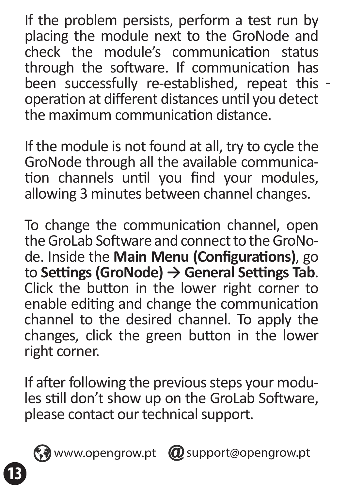been successfully re-established, repeat this -If the problem persists, perform a test run by placing the module next to the GroNode and check the module's communication status through the software. If communication has operation at different distances until you detect the maximum communication distance.

If the module is not found at all, try to cycle the GroNode through all the available communication channels until you find your modules, allowing 3 minutes between channel changes.

To change the communication channel, open the GroLab Software and connect to the GroNode. Inside the **Main Menu (Configurations)**, go<br>to **Settings (GroNode) -> General Settings Tab.** Click the button in the lower right corner to enable editing and change the communication channel to the desired channel. To apply the changes, click the green button in the lower right corner.

If after following the previous steps your modules still don't show up on the GroLab Software, please contact our technical support.



 $\mathbb{G}$  www.opengrow.pt  $\mathbb{\Omega}$  support@opengrow.pt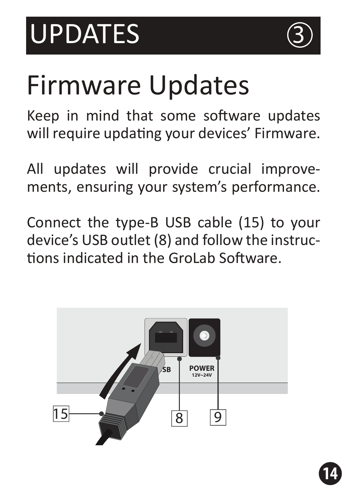

### Firmware Updates

Keep in mind that some software updates will require updating your devices' Firmware.

All updates will provide crucial improvements, ensuring your system's performance.

Connect the type-B USB cable (15) to your device's USB outlet (8) and follow the instructions indicated in the GroLab Software.



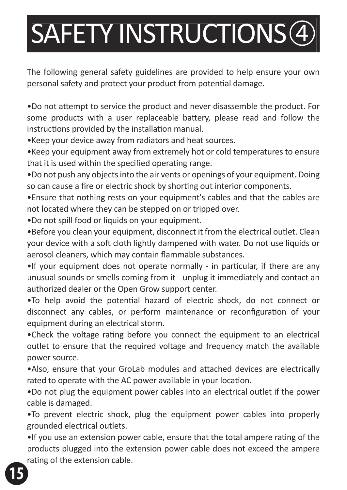### AFETY INSTRUCTIONS  $\widehat{A}$

The following general safety guidelines are provided to help ensure your own personal safety and protect your product from potential damage.

. Do not attempt to service the product and never disassemble the product. For some products with a user replaceable battery, please read and follow the instructions provided by the installation manual.

•Keep your device away from radiators and heat sources. •

•Keep your equipment away from extremely hot or cold temperatures to ensure that it is used within the specified operating range.

•Do not push any objects into the air vents or openings of your equipment. Doing so can cause a fire or electric shock by shorting out interior components.

•Ensure that nothing rests on your equipment's cables and that the cables are not located where they can be stepped on or tripped over. n

•Do not spill food or liquids on your equipment. •

•Before you clean your equipment, disconnect it from the electrical outlet. Clean your device with a soft cloth lightly dampened with water. Do not use liquids or aerosol cleaners, which may contain flammable substances. a

. If your equipment does not operate normally - in particular, if there are any unusual sounds or smells coming from it - unplug it immediately and contact an authorized dealer or the Open Grow support center. a

. To help avoid the potential hazard of electric shock, do not connect or disconnect any cables, or perform maintenance or reconfiguration of your equipment during an electrical storm. e

. Check the voltage rating before you connect the equipment to an electrical outlet to ensure that the required voltage and frequency match the available power source. p

•Also, ensure that your GroLab modules and aƩached devices are electrically rated to operate with the AC power available in your location.

•Do not plug the equipment power cables into an electrical outlet if the powe power cable is damaged. c

. To prevent electric shock, plug the equipment power cables into properly grounded electrical outlets. g

•If you use an extension power cable, ensure that the total ampere rating of the<br>products plugged into the extension power cable does not exceed the ampere products plugged into the extension power cable does not exceed the ampere rating of the extension cable.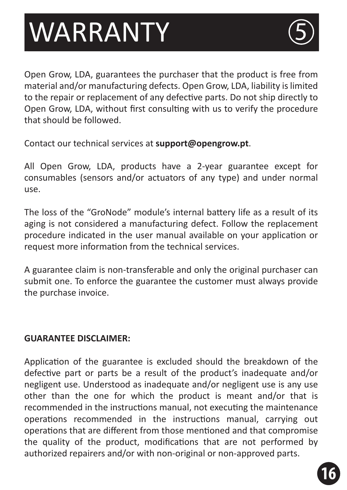### **WARRANTY**



Open Grow, LDA, guarantees the purchaser that the product is free from material and/or manufacturing defects. Open Grow, LDA, liability is limited to the repair or replacement of any defective parts. Do not ship directly to Open Grow, LDA, without first consulting with us to verify the procedure that should be followed.

Contact our technical services at **support@opengrow.pt**.

All Open Grow, LDA, products have a 2-year guarantee except for consumables (sensors and/or actuators of any type) and under normal use.

The loss of the "GroNode" module's internal battery life as a result of its aging is not considered a manufacturing defect. Follow the replacement procedure indicated in the user manual available on your application or .<br>request more information from the technical services.

A guarantee claim is non-transferable and only the original purchaser can submit one. To enforce the guarantee the customer must always provide the purchase invoice.

#### **GUARANTEE DISCLAIMER:**

Application of the guarantee is excluded should the breakdown of the defective part or parts be a result of the product's inadequate and/or negligent use. Understood as inadequate and/or negligent use is any use other than the one for which the product is meant and/or that is recommended in the instructions manual, not executing the maintenance operations recommended in the instructions manual, carrying out operations that are different from those mentioned and that compromise the quality of the product, modifications that are not performed by authorized repairers and/or with non-original or non-approved parts.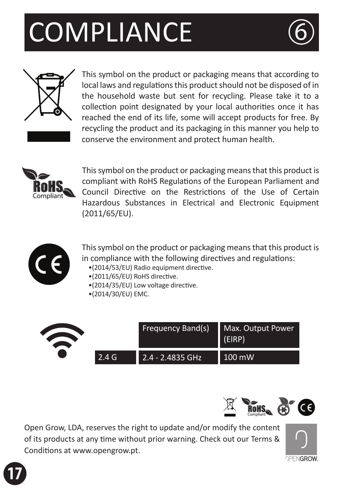## **OMPLIANCE**





This symbol on the product or packaging means that according to local laws and regulations this product should not be disposed of in the household waste but sent for recycling. Please take it to a collection point designated by your local authorities once it has reached the end of its life, some will accept products for free. By recycling the product and its packaging in this manner you help to conserve the environment and protect human health.



This symbol on the product or packaging means that this product is compliant with RoHS Regulations of the European Parliament and Council Directive on the Restrictions of the Use of Certain Hazardous Substances in Electrical and Electronic Equipment (2011/65/EU).



This symbol on the product or packaging means that this product is in compliance with the following directives and regulations:

- •(2014/53/EU) Radio equipment directive.
- $\bullet$ (2011/65/EU) RoHS directive.
- $\bullet$ (2014/35/EU) Low voltage directive.
- •(2014/30/EU) EMC.





Open Grow, LDA, reserves the right to update and/or modify the content of its products at any time without prior warning. Check out our Terms & Conditions at www.opengrow.pt.



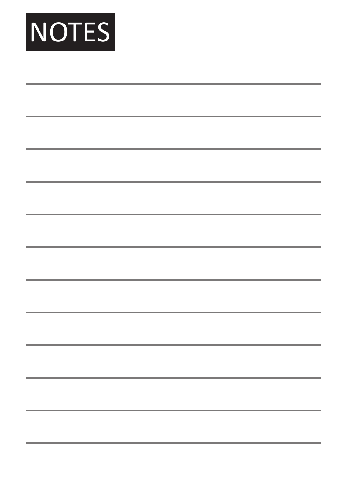

| <u> 1989 - Johann Harry Harry Harry Harry Harry Harry Harry Harry Harry Harry Harry Harry Harry Harry Harry Harry</u>   |  |  |  |
|-------------------------------------------------------------------------------------------------------------------------|--|--|--|
| <u> 1989 - Johann Harry Harry Harry Harry Harry Harry Harry Harry Harry Harry Harry Harry Harry Harry Harry Harry H</u> |  |  |  |
| <u> 1989 - Johann Harry Harry Harry Harry Harry Harry Harry Harry Harry Harry Harry Harry Harry Harry Harry Harry</u>   |  |  |  |
| <u> 1989 - Johann Harry Harry Harry Harry Harry Harry Harry Harry Harry Harry Harry Harry Harry Harry Harry Harry</u>   |  |  |  |
| <u> 1989 - Johann Harry Harry Harry Harry Harry Harry Harry Harry Harry Harry Harry Harry Harry Harry Harry Harry</u>   |  |  |  |
| <u> 1989 - Johann Harry Harry Harry Harry Harry Harry Harry Harry Harry Harry Harry Harry Harry Harry Harry Harry</u>   |  |  |  |
| <u> 1989 - Johann Harry Harry Harry Harry Harry Harry Harry Harry Harry Harry Harry Harry Harry Harry Harry Harry H</u> |  |  |  |
| <u> 1989 - Johann Harry Harry Harry Harry Harry Harry Harry Harry Harry Harry Harry Harry Harry Harry Harry Harry</u>   |  |  |  |
| <u> 1989 - Johann Harry Harry Harry Harry Harry Harry Harry Harry Harry Harry Harry Harry Harry Harry Harry Harry</u>   |  |  |  |
| <u> 1989 - Johann Harry Harry Harry Harry Harry Harry Harry Harry Harry Harry Harry Harry Harry Harry Harry Harry</u>   |  |  |  |
| <u> 1989 - Jan Salaman Salaman (j. 1989)</u>                                                                            |  |  |  |
|                                                                                                                         |  |  |  |